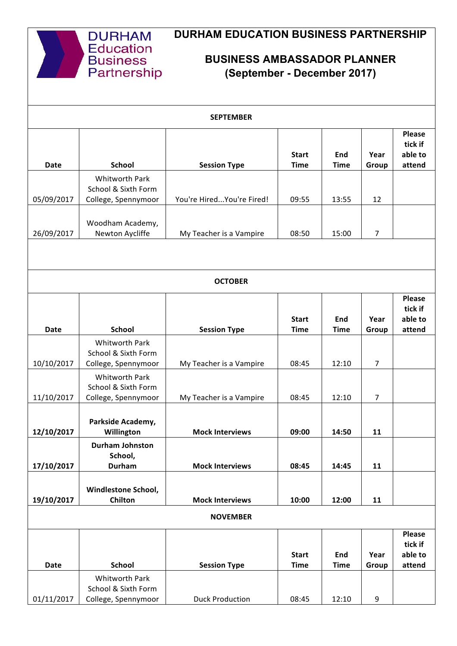

## **DURHAM EDUCATION BUSINESS PARTNERSHIP**

## **BUSINESS AMBASSADOR PLANNER (September - December 2017)**

|                          |                                                              | <b>SEPTEMBER</b>           |                             |                    |                |                                               |  |  |  |
|--------------------------|--------------------------------------------------------------|----------------------------|-----------------------------|--------------------|----------------|-----------------------------------------------|--|--|--|
| Date                     | <b>School</b>                                                | <b>Session Type</b>        | <b>Start</b><br><b>Time</b> | End<br><b>Time</b> | Year<br>Group  | Please<br>tick if<br>able to<br>attend        |  |  |  |
|                          | Whitworth Park<br>School & Sixth Form                        | You're Hired You're Fired! | 09:55                       |                    | 12             |                                               |  |  |  |
| 05/09/2017<br>26/09/2017 | College, Spennymoor<br>Woodham Academy,<br>Newton Aycliffe   | My Teacher is a Vampire    | 08:50                       | 13:55<br>15:00     | 7              |                                               |  |  |  |
|                          |                                                              |                            |                             |                    |                |                                               |  |  |  |
| <b>OCTOBER</b>           |                                                              |                            |                             |                    |                |                                               |  |  |  |
| <b>Date</b>              | <b>School</b>                                                | <b>Session Type</b>        | <b>Start</b><br><b>Time</b> | End<br><b>Time</b> | Year<br>Group  | <b>Please</b><br>tick if<br>able to<br>attend |  |  |  |
| 10/10/2017               | Whitworth Park<br>School & Sixth Form<br>College, Spennymoor | My Teacher is a Vampire    | 08:45                       | 12:10              | $\overline{7}$ |                                               |  |  |  |
| 11/10/2017               | Whitworth Park<br>School & Sixth Form<br>College, Spennymoor | My Teacher is a Vampire    | 08:45                       | 12:10              | 7              |                                               |  |  |  |
| 12/10/2017               | Parkside Academy,<br>Willington                              | <b>Mock Interviews</b>     | 09:00                       | 14:50              | 11             |                                               |  |  |  |
| 17/10/2017               | <b>Durham Johnston</b><br>School,<br><b>Durham</b>           | <b>Mock Interviews</b>     | 08:45                       | 14:45              | 11             |                                               |  |  |  |
| 19/10/2017               | Windlestone School,<br>Chilton                               | <b>Mock Interviews</b>     | 10:00                       | 12:00              | 11             |                                               |  |  |  |
| <b>NOVEMBER</b>          |                                                              |                            |                             |                    |                |                                               |  |  |  |
| <b>Date</b>              | <b>School</b>                                                | <b>Session Type</b>        | <b>Start</b><br><b>Time</b> | End<br><b>Time</b> | Year<br>Group  | <b>Please</b><br>tick if<br>able to<br>attend |  |  |  |
| 01/11/2017               | Whitworth Park<br>School & Sixth Form<br>College, Spennymoor | <b>Duck Production</b>     | 08:45                       | 12:10              | 9              |                                               |  |  |  |